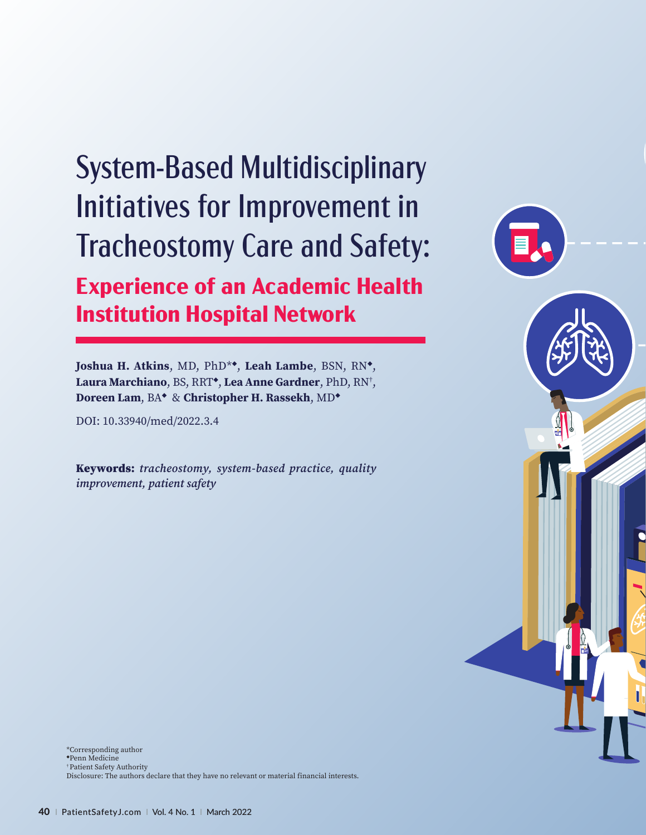System-Based Multidisciplinary Initiatives for Improvement in Tracheostomy Care and Safety: **Experience of an Academic Health Institution Hospital Network**

**Joshua H. Atkins**, MD, PhD\***◆**, **Leah Lambe**, BSN, RN**◆**, **Laura Marchiano**, BS, RRT**◆**, **Lea Anne Gardner**, PhD, RN† , **Doreen Lam**, BA**◆** & **Christopher H. Rassekh**, MD**◆**

DOI: 10.33940/med/2022.3.4

Keywords: *tracheostomy, system-based practice, quality improvement, patient safety*



\*Corresponding author **◆**Penn Medicine † Patient Safety Authority Disclosure: The authors declare that they have no relevant or material financial interests.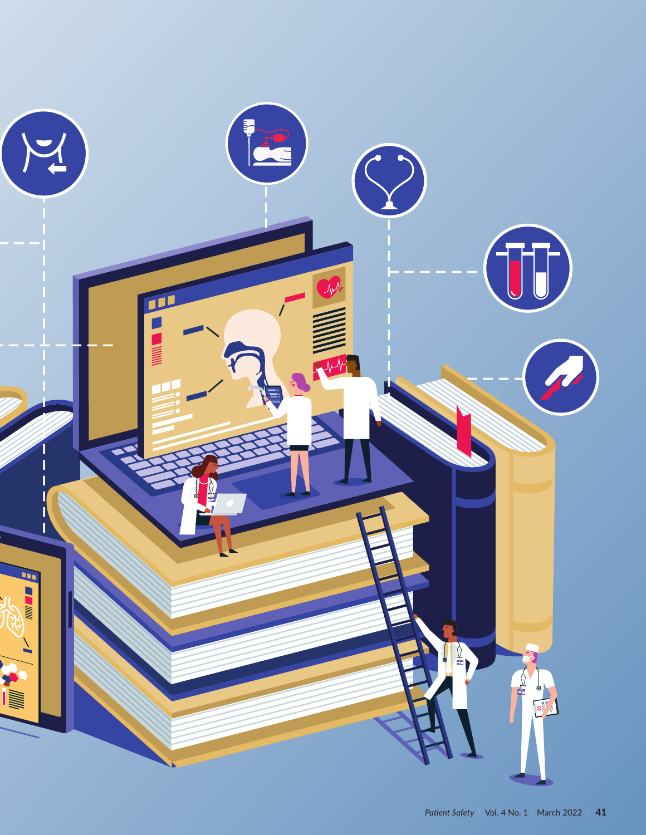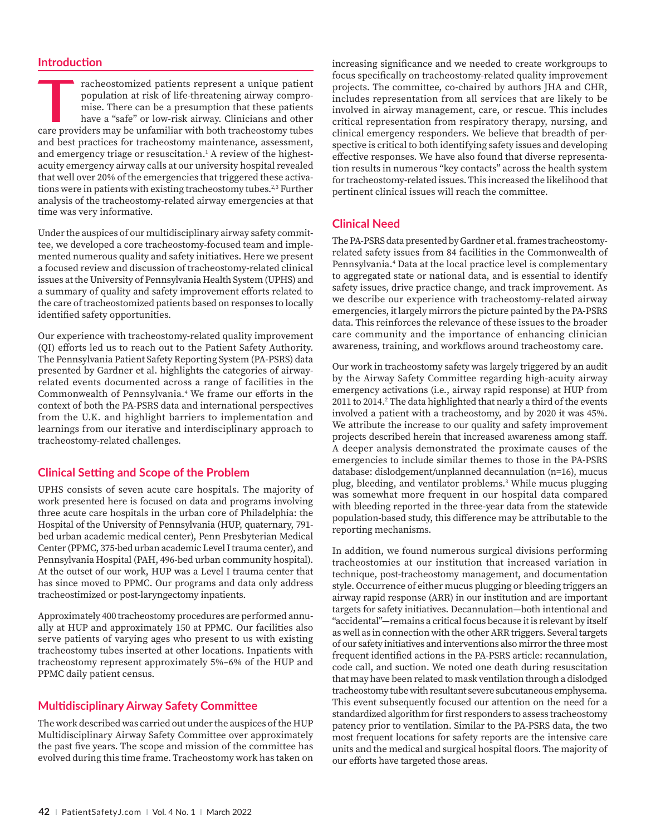#### **Introduction**

racheostomized patients represent a unique patient population at risk of life-threatening airway compromise. There can be a presumption that these patients have a "safe" or low-risk airway. Clinicians and other care providers may be unfamiliar with both tracheostomy tubes and best practices for tracheostomy maintenance, assessment, and emergency triage or resuscitation.<sup>1</sup> A review of the highestacuity emergency airway calls at our university hospital revealed that well over 20% of the emergencies that triggered these activations were in patients with existing tracheostomy tubes.<sup>2,3</sup> Further analysis of the tracheostomy-related airway emergencies at that time was very informative.

Under the auspices of our multidisciplinary airway safety committee, we developed a core tracheostomy-focused team and implemented numerous quality and safety initiatives. Here we present a focused review and discussion of tracheostomy-related clinical issues at the University of Pennsylvania Health System (UPHS) and a summary of quality and safety improvement efforts related to the care of tracheostomized patients based on responses to locally identified safety opportunities.

Our experience with tracheostomy-related quality improvement (QI) efforts led us to reach out to the Patient Safety Authority. The Pennsylvania Patient Safety Reporting System (PA-PSRS) data presented by Gardner et al. highlights the categories of airwayrelated events documented across a range of facilities in the Commonwealth of Pennsylvania.4 We frame our efforts in the context of both the PA-PSRS data and international perspectives from the U.K. and highlight barriers to implementation and learnings from our iterative and interdisciplinary approach to tracheostomy-related challenges.

### **Clinical Setting and Scope of the Problem**

UPHS consists of seven acute care hospitals. The majority of work presented here is focused on data and programs involving three acute care hospitals in the urban core of Philadelphia: the Hospital of the University of Pennsylvania (HUP, quaternary, 791 bed urban academic medical center), Penn Presbyterian Medical Center (PPMC, 375-bed urban academic Level I trauma center), and Pennsylvania Hospital (PAH, 496-bed urban community hospital). At the outset of our work, HUP was a Level I trauma center that has since moved to PPMC. Our programs and data only address tracheostimized or post-laryngectomy inpatients.

Approximately 400 tracheostomy procedures are performed annually at HUP and approximately 150 at PPMC. Our facilities also serve patients of varying ages who present to us with existing tracheostomy tubes inserted at other locations. Inpatients with tracheostomy represent approximately 5%–6% of the HUP and PPMC daily patient census.

### **Multidisciplinary Airway Safety Committee**

The work described was carried out under the auspices of the HUP Multidisciplinary Airway Safety Committee over approximately the past five years. The scope and mission of the committee has evolved during this time frame. Tracheostomy work has taken on increasing significance and we needed to create workgroups to focus specifically on tracheostomy-related quality improvement projects. The committee, co-chaired by authors JHA and CHR, includes representation from all services that are likely to be involved in airway management, care, or rescue. This includes critical representation from respiratory therapy, nursing, and clinical emergency responders. We believe that breadth of perspective is critical to both identifying safety issues and developing effective responses. We have also found that diverse representation results in numerous "key contacts" across the health system for tracheostomy-related issues. This increased the likelihood that pertinent clinical issues will reach the committee.

## **Clinical Need**

The PA-PSRS data presented by Gardner et al. frames tracheostomyrelated safety issues from 84 facilities in the Commonwealth of Pennsylvania.4 Data at the local practice level is complementary to aggregated state or national data, and is essential to identify safety issues, drive practice change, and track improvement. As we describe our experience with tracheostomy-related airway emergencies, it largely mirrors the picture painted by the PA-PSRS data. This reinforces the relevance of these issues to the broader care community and the importance of enhancing clinician awareness, training, and workflows around tracheostomy care.

Our work in tracheostomy safety was largely triggered by an audit by the Airway Safety Committee regarding high-acuity airway emergency activations (i.e., airway rapid response) at HUP from 2011 to 2014.<sup>2</sup> The data highlighted that nearly a third of the events involved a patient with a tracheostomy, and by 2020 it was 45%. We attribute the increase to our quality and safety improvement projects described herein that increased awareness among staff. A deeper analysis demonstrated the proximate causes of the emergencies to include similar themes to those in the PA-PSRS database: dislodgement/unplanned decannulation (n=16), mucus plug, bleeding, and ventilator problems.<sup>3</sup> While mucus plugging was somewhat more frequent in our hospital data compared with bleeding reported in the three-year data from the statewide population-based study, this difference may be attributable to the reporting mechanisms.

In addition, we found numerous surgical divisions performing tracheostomies at our institution that increased variation in technique, post-tracheostomy management, and documentation style. Occurrence of either mucus plugging or bleeding triggers an airway rapid response (ARR) in our institution and are important targets for safety initiatives. Decannulation—both intentional and "accidental"—remains a critical focus because it is relevant by itself as well as in connection with the other ARR triggers. Several targets of our safety initiatives and interventions also mirror the three most frequent identified actions in the PA-PSRS article: recannulation, code call, and suction. We noted one death during resuscitation that may have been related to mask ventilation through a dislodged tracheostomy tube with resultant severe subcutaneous emphysema. This event subsequently focused our attention on the need for a standardized algorithm for first responders to assess tracheostomy patency prior to ventilation. Similar to the PA-PSRS data, the two most frequent locations for safety reports are the intensive care units and the medical and surgical hospital floors. The majority of our efforts have targeted those areas.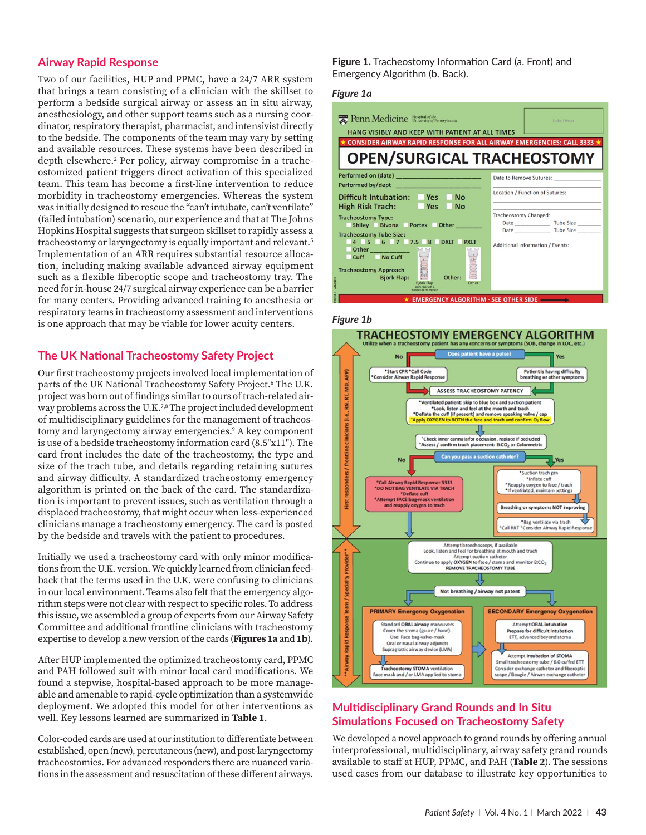#### **Airway Rapid Response**

Two of our facilities, HUP and PPMC, have a 24/7 ARR system that brings a team consisting of a clinician with the skillset to perform a bedside surgical airway or assess an in situ airway, anesthesiology, and other support teams such as a nursing coordinator, respiratory therapist, pharmacist, and intensivist directly to the bedside. The components of the team may vary by setting and available resources. These systems have been described in depth elsewhere.2 Per policy, airway compromise in a tracheostomized patient triggers direct activation of this specialized team. This team has become a first-line intervention to reduce morbidity in tracheostomy emergencies. Whereas the system was initially designed to rescue the "can't intubate, can't ventilate" (failed intubation) scenario, our experience and that at The Johns Hopkins Hospital suggests that surgeon skillset to rapidly assess a tracheostomy or laryngectomy is equally important and relevant.5 Implementation of an ARR requires substantial resource allocation, including making available advanced airway equipment such as a flexible fiberoptic scope and tracheostomy tray. The need for in-house 24/7 surgical airway experience can be a barrier for many centers. Providing advanced training to anesthesia or respiratory teams in tracheostomy assessment and interventions is one approach that may be viable for lower acuity centers.

### **The UK National Tracheostomy Safety Project**

Our first tracheostomy projects involved local implementation of parts of the UK National Tracheostomy Safety Project.6 The U.K. project was born out of findings similar to ours of trach-related airway problems across the U.K.<sup>7,8</sup> The project included development of multidisciplinary guidelines for the management of tracheostomy and laryngectomy airway emergencies.9 A key component is use of a bedside tracheostomy information card (8.5"x11"). The card front includes the date of the tracheostomy, the type and size of the trach tube, and details regarding retaining sutures and airway difficulty. A standardized tracheostomy emergency algorithm is printed on the back of the card. The standardization is important to prevent issues, such as ventilation through a displaced tracheostomy, that might occur when less-experienced clinicians manage a tracheostomy emergency. The card is posted by the bedside and travels with the patient to procedures.

Initially we used a tracheostomy card with only minor modifications from the U.K. version. We quickly learned from clinician feedback that the terms used in the U.K. were confusing to clinicians in our local environment. Teams also felt that the emergency algorithm steps were not clear with respect to specific roles. To address this issue, we assembled a group of experts from our Airway Safety Committee and additional frontline clinicians with tracheostomy expertise to develop a new version of the cards (**Figures 1a** and **1b**).

After HUP implemented the optimized tracheostomy card, PPMC and PAH followed suit with minor local card modifications. We found a stepwise, hospital-based approach to be more manageable and amenable to rapid-cycle optimization than a systemwide deployment. We adopted this model for other interventions as well. Key lessons learned are summarized in **Table 1**.

Color-coded cards are used at our institution to differentiate between established, open (new), percutaneous (new), and post-laryngectomy tracheostomies. For advanced responders there are nuanced variations in the assessment and resuscitation of these different airways. **Figure 1.** Tracheostomy Information Card (a. Front) and Emergency Algorithm (b. Back).

#### *Figure 1a*



#### *Figure 1b*



# **Multidisciplinary Grand Rounds and In Situ Simulations Focused on Tracheostomy Safety**

We developed a novel approach to grand rounds by offering annual interprofessional, multidisciplinary, airway safety grand rounds available to staff at HUP, PPMC, and PAH (**Table 2**). The sessions used cases from our database to illustrate key opportunities to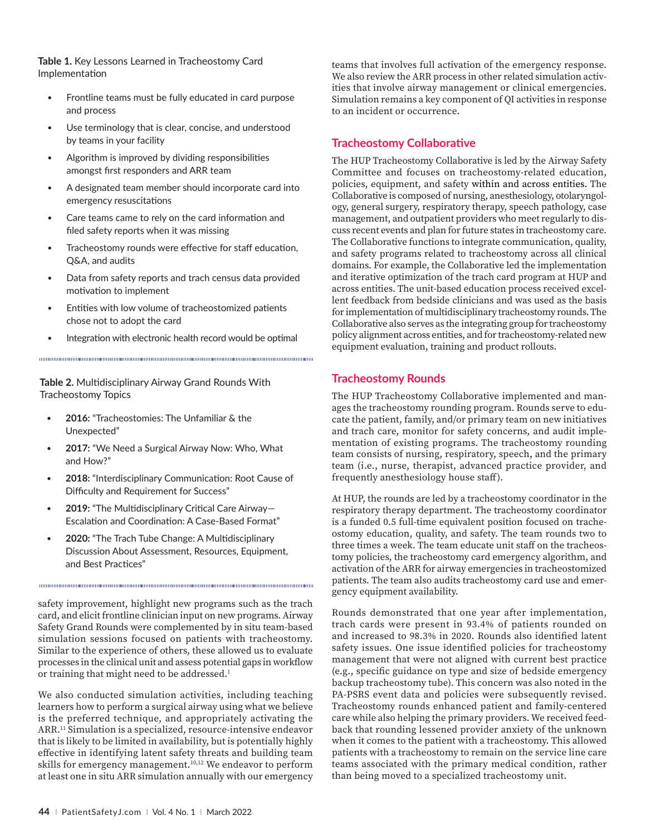**Table 1.** Key Lessons Learned in Tracheostomy Card Implementation

- Frontline teams must be fully educated in card purpose and process
- Use terminology that is clear, concise, and understood by teams in your facility
- Algorithm is improved by dividing responsibilities amongst first responders and ARR team
- A designated team member should incorporate card into emergency resuscitations
- Care teams came to rely on the card information and filed safety reports when it was missing
- Tracheostomy rounds were effective for staff education, Q&A, and audits
- Data from safety reports and trach census data provided motivation to implement
- Entities with low volume of tracheostomized patients chose not to adopt the card
- Integration with electronic health record would be optimal

**Table 2.** Multidisciplinary Airway Grand Rounds With Tracheostomy Topics

- **2016:** "Tracheostomies: The Unfamiliar & the Unexpected"
- **2017:** "We Need a Surgical Airway Now: Who, What and How?"
- **2018:** "Interdisciplinary Communication: Root Cause of Difficulty and Requirement for Success"
- **2019:** "The Multidisciplinary Critical Care Airway— Escalation and Coordination: A Case-Based Format"
- **2020:** "The Trach Tube Change: A Multidisciplinary Discussion About Assessment, Resources, Equipment, and Best Practices"

safety improvement, highlight new programs such as the trach card, and elicit frontline clinician input on new programs. Airway Safety Grand Rounds were complemented by in situ team-based simulation sessions focused on patients with tracheostomy. Similar to the experience of others, these allowed us to evaluate processes in the clinical unit and assess potential gaps in workflow or training that might need to be addressed.<sup>1</sup>

We also conducted simulation activities, including teaching learners how to perform a surgical airway using what we believe is the preferred technique, and appropriately activating the ARR.11 Simulation is a specialized, resource-intensive endeavor that is likely to be limited in availability, but is potentially highly effective in identifying latent safety threats and building team skills for emergency management.<sup>10,12</sup> We endeavor to perform at least one in situ ARR simulation annually with our emergency

teams that involves full activation of the emergency response. We also review the ARR process in other related simulation activities that involve airway management or clinical emergencies. Simulation remains a key component of QI activities in response to an incident or occurrence.

## **Tracheostomy Collaborative**

The HUP Tracheostomy Collaborative is led by the Airway Safety Committee and focuses on tracheostomy-related education, policies, equipment, and safety within and across entities. The Collaborative is composed of nursing, anesthesiology, otolaryngology, general surgery, respiratory therapy, speech pathology, case management, and outpatient providers who meet regularly to discuss recent events and plan for future states in tracheostomy care. The Collaborative functions to integrate communication, quality, and safety programs related to tracheostomy across all clinical domains. For example, the Collaborative led the implementation and iterative optimization of the trach card program at HUP and across entities. The unit-based education process received excellent feedback from bedside clinicians and was used as the basis for implementation of multidisciplinary tracheostomy rounds. The Collaborative also serves as the integrating group for tracheostomy policy alignment across entities, and for tracheostomy-related new equipment evaluation, training and product rollouts.

## **Tracheostomy Rounds**

The HUP Tracheostomy Collaborative implemented and manages the tracheostomy rounding program. Rounds serve to educate the patient, family, and/or primary team on new initiatives and trach care, monitor for safety concerns, and audit implementation of existing programs. The tracheostomy rounding team consists of nursing, respiratory, speech, and the primary team (i.e., nurse, therapist, advanced practice provider, and frequently anesthesiology house staff).

At HUP, the rounds are led by a tracheostomy coordinator in the respiratory therapy department. The tracheostomy coordinator is a funded 0.5 full-time equivalent position focused on tracheostomy education, quality, and safety. The team rounds two to three times a week. The team educate unit staff on the tracheostomy policies, the tracheostomy card emergency algorithm, and activation of the ARR for airway emergencies in tracheostomized patients. The team also audits tracheostomy card use and emergency equipment availability.

Rounds demonstrated that one year after implementation, trach cards were present in 93.4% of patients rounded on and increased to 98.3% in 2020. Rounds also identified latent safety issues. One issue identified policies for tracheostomy management that were not aligned with current best practice (e.g., specific guidance on type and size of bedside emergency backup tracheostomy tube). This concern was also noted in the PA-PSRS event data and policies were subsequently revised. Tracheostomy rounds enhanced patient and family-centered care while also helping the primary providers. We received feedback that rounding lessened provider anxiety of the unknown when it comes to the patient with a tracheostomy. This allowed patients with a tracheostomy to remain on the service line care teams associated with the primary medical condition, rather than being moved to a specialized tracheostomy unit.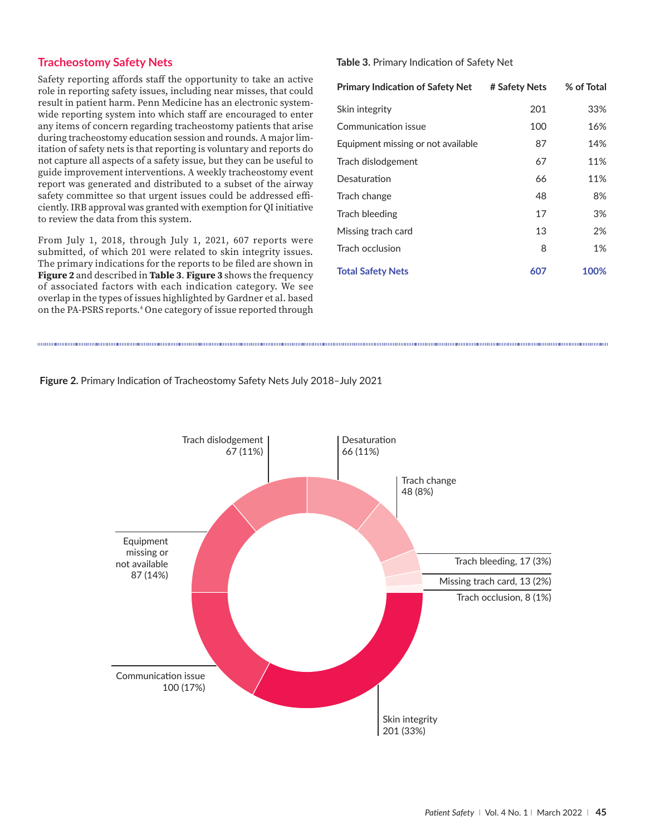## **Tracheostomy Safety Nets**

Safety reporting affords staff the opportunity to take an active role in reporting safety issues, including near misses, that could result in patient harm. Penn Medicine has an electronic systemwide reporting system into which staff are encouraged to enter any items of concern regarding tracheostomy patients that arise during tracheostomy education session and rounds. A major limitation of safety nets is that reporting is voluntary and reports do not capture all aspects of a safety issue, but they can be useful to guide improvement interventions. A weekly tracheostomy event report was generated and distributed to a subset of the airway safety committee so that urgent issues could be addressed efficiently. IRB approval was granted with exemption for QI initiative to review the data from this system.

From July 1, 2018, through July 1, 2021, 607 reports were submitted, of which 201 were related to skin integrity issues. The primary indications for the reports to be filed are shown in **Figure 2** and described in **Table 3**. **Figure 3** shows the frequency of associated factors with each indication category. We see overlap in the types of issues highlighted by Gardner et al. based on the PA-PSRS reports.4 One category of issue reported through

**Table 3.** Primary Indication of Safety Net

| <b>Primary Indication of Safety Net</b> | # Safety Nets | % of Total |
|-----------------------------------------|---------------|------------|
| Skin integrity                          | 201           | 33%        |
| Communication issue                     | 100           | 16%        |
| Equipment missing or not available      | 87            | 14%        |
| Trach dislodgement                      | 67            | 11%        |
| Desaturation                            | 66            | 11%        |
| Trach change                            | 48            | 8%         |
| Trach bleeding                          | 17            | 3%         |
| Missing trach card                      | 13            | 2%         |
| Trach occlusion                         | 8             | 1%         |
| <b>Total Safety Nets</b>                | 607           | 100%       |

**Figure 2.** Primary Indication of Tracheostomy Safety Nets July 2018–July 2021

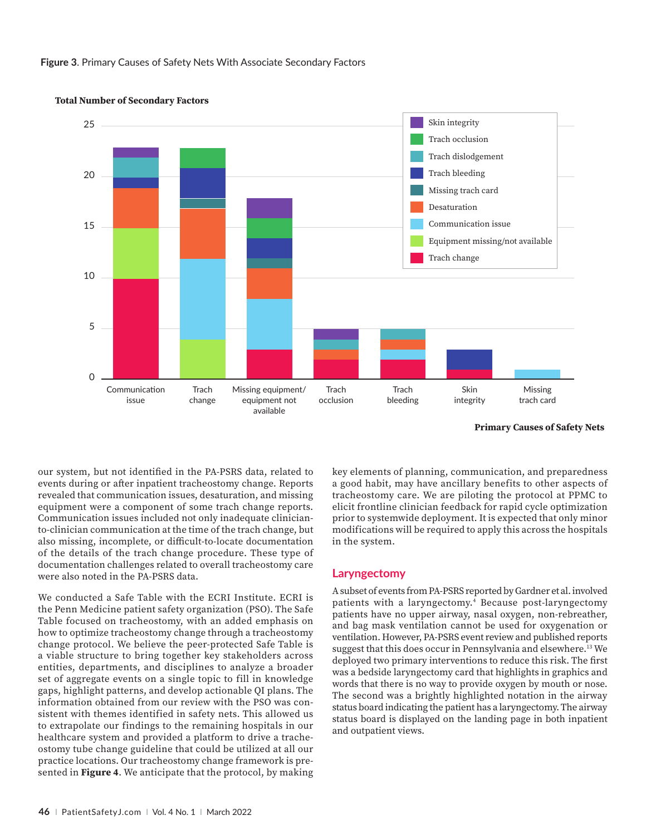

#### **Total Number of Secondary Factors**

**Primary Causes of Safety Nets**

our system, but not identified in the PA-PSRS data, related to events during or after inpatient tracheostomy change. Reports revealed that communication issues, desaturation, and missing equipment were a component of some trach change reports. Communication issues included not only inadequate clinicianto-clinician communication at the time of the trach change, but also missing, incomplete, or difficult-to-locate documentation of the details of the trach change procedure. These type of documentation challenges related to overall tracheostomy care were also noted in the PA-PSRS data.

We conducted a Safe Table with the ECRI Institute. ECRI is the Penn Medicine patient safety organization (PSO). The Safe Table focused on tracheostomy, with an added emphasis on how to optimize tracheostomy change through a tracheostomy change protocol. We believe the peer-protected Safe Table is a viable structure to bring together key stakeholders across entities, departments, and disciplines to analyze a broader set of aggregate events on a single topic to fill in knowledge gaps, highlight patterns, and develop actionable QI plans. The information obtained from our review with the PSO was consistent with themes identified in safety nets. This allowed us to extrapolate our findings to the remaining hospitals in our healthcare system and provided a platform to drive a tracheostomy tube change guideline that could be utilized at all our practice locations. Our tracheostomy change framework is presented in **Figure 4**. We anticipate that the protocol, by making

key elements of planning, communication, and preparedness a good habit, may have ancillary benefits to other aspects of tracheostomy care. We are piloting the protocol at PPMC to elicit frontline clinician feedback for rapid cycle optimization prior to systemwide deployment. It is expected that only minor modifications will be required to apply this across the hospitals in the system.

### **Laryngectomy**

A subset of events from PA-PSRS reported by Gardner et al. involved patients with a laryngectomy.4 Because post-laryngectomy patients have no upper airway, nasal oxygen, non-rebreather, and bag mask ventilation cannot be used for oxygenation or ventilation. However, PA-PSRS event review and published reports suggest that this does occur in Pennsylvania and elsewhere.13 We deployed two primary interventions to reduce this risk. The first was a bedside laryngectomy card that highlights in graphics and words that there is no way to provide oxygen by mouth or nose. The second was a brightly highlighted notation in the airway status board indicating the patient has a laryngectomy. The airway status board is displayed on the landing page in both inpatient and outpatient views.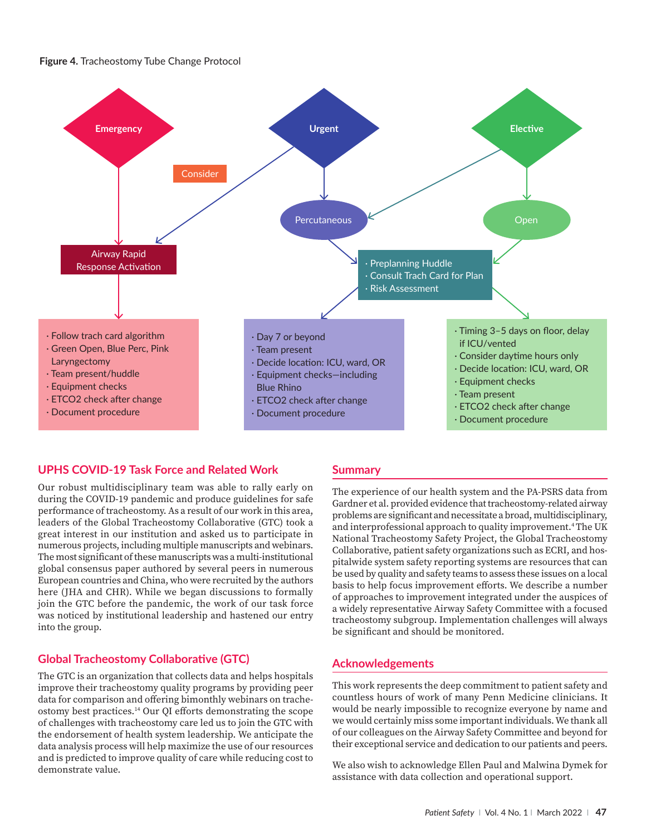## **Figure 4.** Tracheostomy Tube Change Protocol



# **UPHS COVID-19 Task Force and Related Work**

Our robust multidisciplinary team was able to rally early on during the COVID-19 pandemic and produce guidelines for safe performance of tracheostomy. As a result of our work in this area, leaders of the Global Tracheostomy Collaborative (GTC) took a great interest in our institution and asked us to participate in numerous projects, including multiple manuscripts and webinars. The most significant of these manuscripts was a multi-institutional global consensus paper authored by several peers in numerous European countries and China, who were recruited by the authors here (JHA and CHR). While we began discussions to formally join the GTC before the pandemic, the work of our task force was noticed by institutional leadership and hastened our entry into the group.

## **Global Tracheostomy Collaborative (GTC)**

The GTC is an organization that collects data and helps hospitals improve their tracheostomy quality programs by providing peer data for comparison and offering bimonthly webinars on tracheostomy best practices.14 Our QI efforts demonstrating the scope of challenges with tracheostomy care led us to join the GTC with the endorsement of health system leadership. We anticipate the data analysis process will help maximize the use of our resources and is predicted to improve quality of care while reducing cost to demonstrate value.

## **Summary**

The experience of our health system and the PA-PSRS data from Gardner et al. provided evidence that tracheostomy-related airway problems are significant and necessitate a broad, multidisciplinary, and interprofessional approach to quality improvement.4 The UK National Tracheostomy Safety Project, the Global Tracheostomy Collaborative, patient safety organizations such as ECRI, and hospitalwide system safety reporting systems are resources that can be used by quality and safety teams to assess these issues on a local basis to help focus improvement efforts. We describe a number of approaches to improvement integrated under the auspices of a widely representative Airway Safety Committee with a focused tracheostomy subgroup. Implementation challenges will always be significant and should be monitored.

## **Acknowledgements**

This work represents the deep commitment to patient safety and countless hours of work of many Penn Medicine clinicians. It would be nearly impossible to recognize everyone by name and we would certainly miss some important individuals. We thank all of our colleagues on the Airway Safety Committee and beyond for their exceptional service and dedication to our patients and peers.

We also wish to acknowledge Ellen Paul and Malwina Dymek for assistance with data collection and operational support.